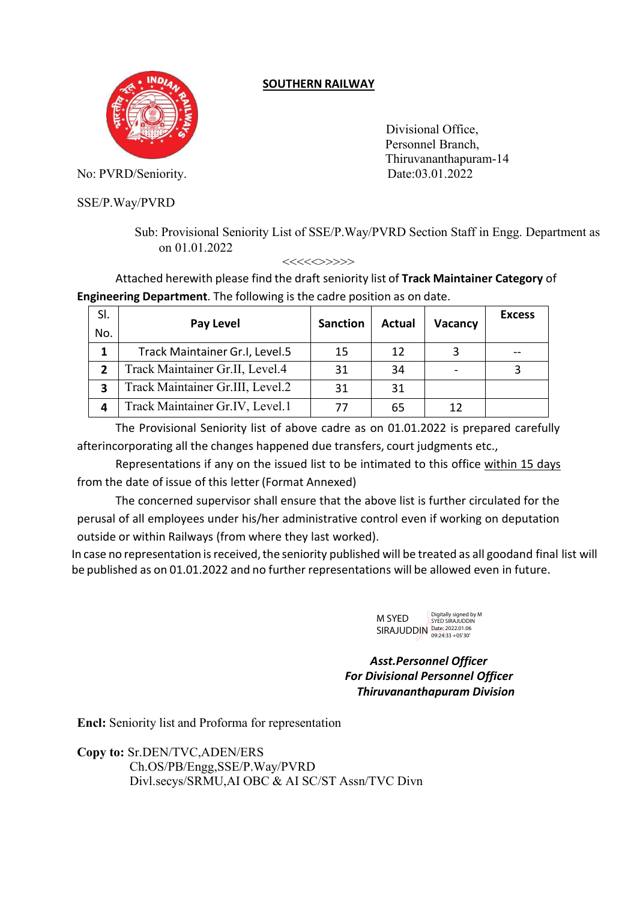## **SOUTHERN RAILWAY**



Divisional Office, Personnel Branch, Thiruvananthapuram-14

No: PVRD/Seniority. Date:03.01.2022

SSE/P.Way/PVRD

Sub: Provisional Seniority List of SSE/P.Way/PVRD Section Staff in Engg. Department as on 01.01.2022

<<<<<>>>>>

Attached herewith please find the draft seniority list of **Track Maintainer Category** of **Engineering Department**. The following is the cadre position as on date.

| SI.<br>No. | Pay Level                        | <b>Sanction</b> | <b>Actual</b> | <b>Vacancy</b>           | <b>Excess</b> |
|------------|----------------------------------|-----------------|---------------|--------------------------|---------------|
|            | Track Maintainer Gr.I, Level.5   | 15              | 12            |                          |               |
|            | Track Maintainer Gr.II, Level.4  | 31              | 34            | $\overline{\phantom{0}}$ |               |
| 3          | Track Maintainer Gr.III, Level.2 | 31              | 31            |                          |               |
| Δ          | Track Maintainer Gr.IV, Level.1  | 77              | 65            | 12                       |               |

The Provisional Seniority list of above cadre as on 01.01.2022 is prepared carefully afterincorporating all the changes happened due transfers, court judgments etc.,

Representations if any on the issued list to be intimated to this office within 15 days from the date of issue of this letter (Format Annexed)

The concerned supervisor shall ensure that the above list is further circulated for the perusal of all employees under his/her administrative control even if working on deputation outside or within Railways (from where they last worked).

In case no representation is received, the seniority published will be treated as all goodand final list will be published as on 01.01.2022 and no further representations will be allowed even in future.



*Asst.Personnel Officer For Divisional Personnel Officer Thiruvananthapuram Division*

**Encl:** Seniority list and Proforma for representation

**Copy to:** Sr.DEN/TVC,ADEN/ERS Ch.OS/PB/Engg,SSE/P.Way/PVRD Divl.secys/SRMU,AI OBC & AI SC/ST Assn/TVC Divn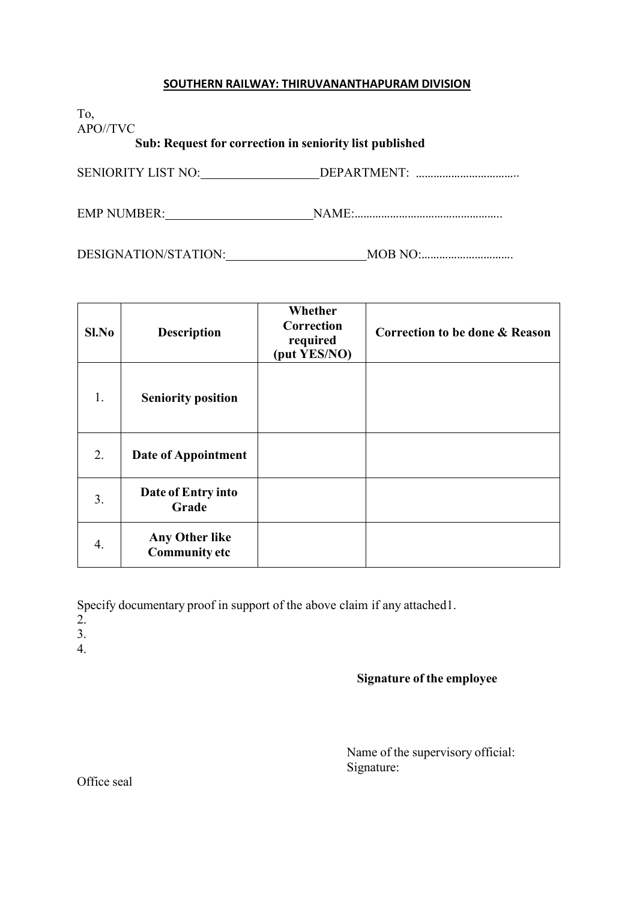## **SOUTHERN RAILWAY: THIRUVANANTHAPURAM DIVISION**

To, APO//TVC

**Sub: Request for correction in seniority list published**

SENIORITY LIST NO: DEPARTMENT: ……………………………..

EMP NUMBER: NAME:…………………………………………..

DESIGNATION/STATION: MOB NO:………………………….

| Sl.No | <b>Description</b>                            | Whether<br>Correction<br>required<br>(put YES/NO) | <b>Correction to be done &amp; Reason</b> |
|-------|-----------------------------------------------|---------------------------------------------------|-------------------------------------------|
| 1.    | <b>Seniority position</b>                     |                                                   |                                           |
| 2.    | Date of Appointment                           |                                                   |                                           |
| 3.    | Date of Entry into<br>Grade                   |                                                   |                                           |
| 4.    | <b>Any Other like</b><br><b>Community etc</b> |                                                   |                                           |

Specify documentary proof in support of the above claim if any attached1.

- 2.
- 3.
- 4.

## **Signature of the employee**

Name of the supervisory official: Signature:

Office seal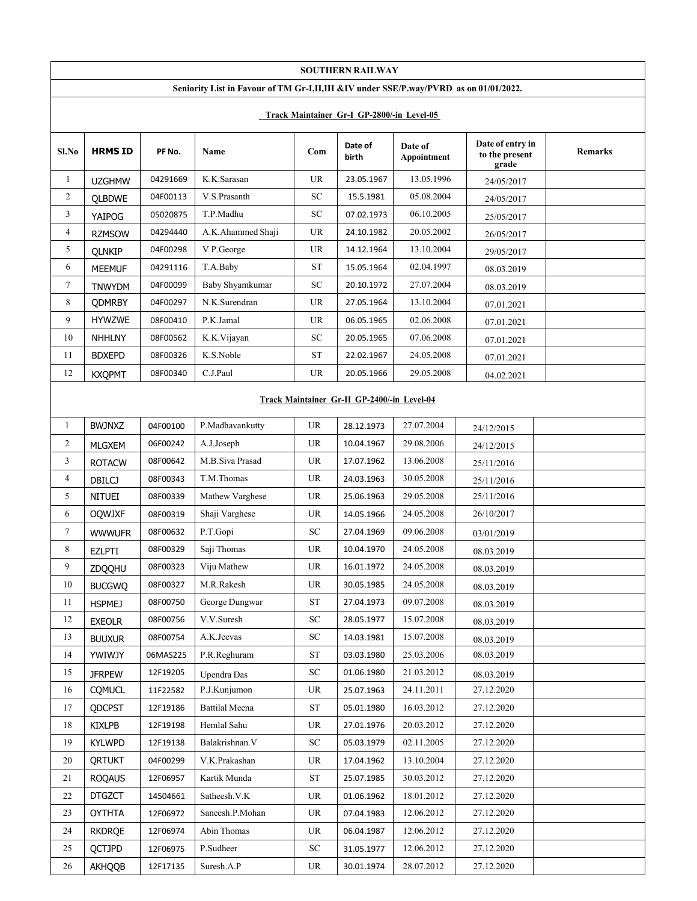|                                             |                         |          |                                                                                       |                                   | <b>SOUTHERN RAILWAY</b>                    |                        |                                             |         |  |  |
|---------------------------------------------|-------------------------|----------|---------------------------------------------------------------------------------------|-----------------------------------|--------------------------------------------|------------------------|---------------------------------------------|---------|--|--|
|                                             |                         |          | Seniority List in Favour of TM Gr-I,II,III &IV under SSE/P.way/PVRD as on 01/01/2022. |                                   |                                            |                        |                                             |         |  |  |
|                                             |                         |          |                                                                                       |                                   | Track Maintainer Gr-I GP-2800/-in Level-05 |                        |                                             |         |  |  |
| Sl.No                                       | <b>HRMS ID</b>          | PF No.   | Name                                                                                  | Com                               | Date of<br>birth                           | Date of<br>Appointment | Date of entry in<br>to the present<br>grade | Remarks |  |  |
| 1                                           | <b>UZGHMW</b>           | 04291669 | K.K.Sarasan                                                                           | UR                                | 23.05.1967                                 | 13.05.1996             | 24/05/2017                                  |         |  |  |
| $\overline{2}$                              | <b>QLBDWE</b>           | 04F00113 | V.S.Prasanth                                                                          | <b>SC</b>                         | 15.5.1981                                  | 05.08.2004             | 24/05/2017                                  |         |  |  |
| 3                                           | YAIPOG                  | 05020875 | T.P.Madhu                                                                             | <b>SC</b>                         | 07.02.1973                                 | 06.10.2005             | 25/05/2017                                  |         |  |  |
| $\overline{4}$                              | <b>RZMSOW</b>           | 04294440 | A.K.Ahammed Shaji                                                                     | <b>UR</b>                         | 24.10.1982                                 | 20.05.2002             | 26/05/2017                                  |         |  |  |
| 5                                           | <b>QLNKIP</b>           | 04F00298 | V.P.George                                                                            | <b>UR</b>                         | 14.12.1964                                 | 13.10.2004             | 29/05/2017                                  |         |  |  |
| 6                                           | <b>MEEMUF</b>           | 04291116 | T.A.Baby                                                                              | <b>ST</b>                         | 15.05.1964                                 | 02.04.1997             | 08.03.2019                                  |         |  |  |
| $\tau$                                      | <b>TNWYDM</b>           | 04F00099 | Baby Shyamkumar                                                                       | <b>SC</b>                         | 20.10.1972                                 | 27.07.2004             | 08.03.2019                                  |         |  |  |
| 8                                           | <b>QDMRBY</b>           | 04F00297 | N.K.Surendran                                                                         | UR                                | 27.05.1964                                 | 13.10.2004             | 07.01.2021                                  |         |  |  |
| 9                                           | <b>HYWZWE</b>           | 08F00410 | P.K.Jamal                                                                             | UR                                | 06.05.1965                                 | 02.06.2008             | 07.01.2021                                  |         |  |  |
| 10                                          | <b>NHHLNY</b>           | 08F00562 | K.K.Vijayan                                                                           | SC                                | 20.05.1965                                 | 07.06.2008             | 07.01.2021                                  |         |  |  |
| 11                                          | <b>BDXEPD</b>           | 08F00326 | K.S.Noble                                                                             | <b>ST</b>                         | 22.02.1967                                 | 24.05.2008             | 07.01.2021                                  |         |  |  |
| 12                                          | <b>KXQPMT</b>           | 08F00340 | C.J.Paul                                                                              | <b>UR</b>                         | 20.05.1966                                 | 29.05.2008             | 04.02.2021                                  |         |  |  |
| Track Maintainer Gr-II GP-2400/-in Level-04 |                         |          |                                                                                       |                                   |                                            |                        |                                             |         |  |  |
| $\mathbf{1}$                                | <b>BWJNXZ</b>           | 04F00100 | P.Madhavankutty                                                                       | UR                                | 28.12.1973                                 | 27.07.2004             | 24/12/2015                                  |         |  |  |
| $\overline{c}$                              | <b>MLGXEM</b>           | 06F00242 | A.J.Joseph                                                                            | <b>UR</b>                         | 10.04.1967                                 | 29.08.2006             | 24/12/2015                                  |         |  |  |
| 3                                           | <b>ROTACW</b>           | 08F00642 | M.B.Siva Prasad                                                                       | UR                                | 17.07.1962                                 | 13.06.2008             | 25/11/2016                                  |         |  |  |
| 4                                           | <b>DBILCJ</b>           | 08F00343 | T.M.Thomas                                                                            | <b>UR</b>                         | 24.03.1963                                 | 30.05.2008             | 25/11/2016                                  |         |  |  |
| 5                                           | NITUEI                  | 08F00339 | Mathew Varghese                                                                       | <b>UR</b>                         | 25.06.1963                                 | 29.05.2008             | 25/11/2016                                  |         |  |  |
| 6                                           | <b>OQWJXF</b>           | 08F00319 | Shaji Varghese                                                                        | UR                                | 14.05.1966                                 | 24.05.2008             | 26/10/2017                                  |         |  |  |
| 7                                           | <b>WWWUFR</b>           | 08F00632 | P.T.Gopi                                                                              | <b>SC</b>                         | 27.04.1969                                 | 09.06.2008             | 03/01/2019                                  |         |  |  |
| 8                                           | <b>EZLPTI</b>           | 08F00329 | Saji Thomas                                                                           | UR                                | 10.04.1970                                 | 24.05.2008             | 08.03.2019                                  |         |  |  |
| 9                                           |                         | 08F00323 | Viju Mathew                                                                           | <b>UR</b>                         | 16.01.1972                                 | 24.05.2008             | 08.03.2019                                  |         |  |  |
| 10                                          | ZDQQHU<br><b>BUCGWQ</b> | 08F00327 | M.R.Rakesh                                                                            | $\ensuremath{\mathsf{UR}}\xspace$ | 30.05.1985                                 | 24.05.2008             | 08.03.2019                                  |         |  |  |
| 11                                          | <b>HSPMEJ</b>           | 08F00750 | George Dungwar                                                                        | <b>ST</b>                         | 27.04.1973                                 | 09.07.2008             | 08.03.2019                                  |         |  |  |
| 12                                          | <b>EXEOLR</b>           | 08F00756 | V.V.Suresh                                                                            | SC                                | 28.05.1977                                 | 15.07.2008             | 08.03.2019                                  |         |  |  |
| 13                                          | <b>BUUXUR</b>           | 08F00754 | A.K.Jeevas                                                                            | <b>SC</b>                         | 14.03.1981                                 | 15.07.2008             | 08.03.2019                                  |         |  |  |
| 14                                          | YWIWJY                  | 06MAS225 | P.R.Reghuram                                                                          | <b>ST</b>                         | 03.03.1980                                 | 25.03.2006             | 08.03.2019                                  |         |  |  |
| 15                                          | <b>JFRPEW</b>           | 12F19205 | Upendra Das                                                                           | <b>SC</b>                         | 01.06.1980                                 | 21.03.2012             | 08.03.2019                                  |         |  |  |
| 16                                          | <b>CQMUCL</b>           | 11F22582 | P.J.Kunjumon                                                                          | UR                                | 25.07.1963                                 | 24.11.2011             | 27.12.2020                                  |         |  |  |
| 17                                          | QDCPST                  | 12F19186 | <b>Battilal Meena</b>                                                                 | ${\rm ST}$                        | 05.01.1980                                 | 16.03.2012             | 27.12.2020                                  |         |  |  |
| 18                                          | KIXLPB                  | 12F19198 | Hemlal Sahu                                                                           | UR                                | 27.01.1976                                 | 20.03.2012             | 27.12.2020                                  |         |  |  |
| 19                                          | <b>KYLWPD</b>           | 12F19138 | Balakrishnan.V                                                                        | ${\rm SC}$                        | 05.03.1979                                 | 02.11.2005             | 27.12.2020                                  |         |  |  |
| 20                                          | <b>QRTUKT</b>           | 04F00299 | V.K.Prakashan                                                                         | UR                                | 17.04.1962                                 | 13.10.2004             | 27.12.2020                                  |         |  |  |
| 21                                          | <b>ROQAUS</b>           | 12F06957 | Kartik Munda                                                                          | ${\rm ST}$                        | 25.07.1985                                 | 30.03.2012             | 27.12.2020                                  |         |  |  |
| 22                                          | <b>DTGZCT</b>           | 14504661 | Satheesh.V.K                                                                          | UR                                | 01.06.1962                                 | 18.01.2012             | 27.12.2020                                  |         |  |  |
| 23                                          | <b>OYTHTA</b>           | 12F06972 | Saneesh.P.Mohan                                                                       | UR                                | 07.04.1983                                 | 12.06.2012             | 27.12.2020                                  |         |  |  |
| 24                                          | <b>RKDRQE</b>           | 12F06974 | Abin Thomas                                                                           | UR                                | 06.04.1987                                 | 12.06.2012             | 27.12.2020                                  |         |  |  |
| 25                                          | QCTJPD                  | 12F06975 | P.Sudheer                                                                             | <b>SC</b>                         | 31.05.1977                                 | 12.06.2012             | 27.12.2020                                  |         |  |  |
| 26                                          | AKHQQB                  | 12F17135 | Suresh.A.P                                                                            | <b>UR</b>                         | 30.01.1974                                 | 28.07.2012             | 27.12.2020                                  |         |  |  |
|                                             |                         |          |                                                                                       |                                   |                                            |                        |                                             |         |  |  |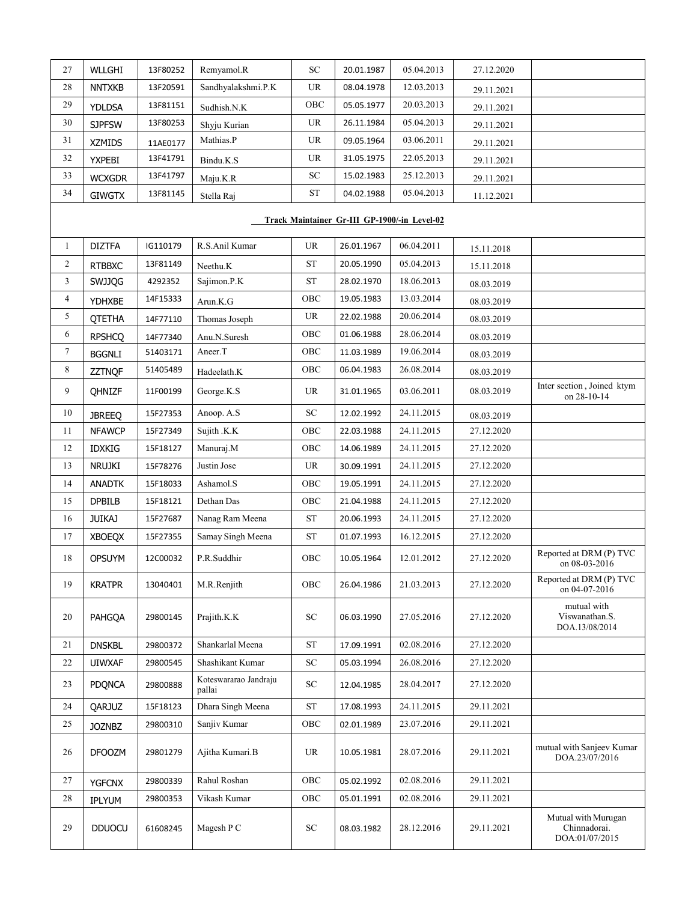| 27             | WLLGHI        | 13F80252 | Remyamol.R                      | SC                                | 20.01.1987                                   | 05.04.2013 | 27.12.2020 |                                                       |
|----------------|---------------|----------|---------------------------------|-----------------------------------|----------------------------------------------|------------|------------|-------------------------------------------------------|
| 28             | <b>NNTXKB</b> | 13F20591 | Sandhyalakshmi.P.K              | UR                                | 08.04.1978                                   | 12.03.2013 | 29.11.2021 |                                                       |
| 29             | <b>YDLDSA</b> | 13F81151 | Sudhish.N.K                     | OBC                               | 05.05.1977                                   | 20.03.2013 | 29.11.2021 |                                                       |
| $30\,$         | <b>SJPFSW</b> | 13F80253 | Shyju Kurian                    | $\ensuremath{\mathsf{UR}}\xspace$ | 26.11.1984                                   | 05.04.2013 | 29.11.2021 |                                                       |
| 31             | <b>XZMIDS</b> | 11AE0177 | Mathias.P                       | <b>UR</b>                         | 09.05.1964                                   | 03.06.2011 | 29.11.2021 |                                                       |
| 32             | <b>YXPEBI</b> | 13F41791 | Bindu.K.S                       | $\ensuremath{\mathsf{UR}}\xspace$ | 31.05.1975                                   | 22.05.2013 | 29.11.2021 |                                                       |
| 33             | <b>WCXGDR</b> | 13F41797 | Maju.K.R                        | SC                                | 15.02.1983                                   | 25.12.2013 | 29.11.2021 |                                                       |
| 34             | <b>GIWGTX</b> | 13F81145 | Stella Raj                      | <b>ST</b>                         | 04.02.1988                                   | 05.04.2013 | 11.12.2021 |                                                       |
|                |               |          |                                 |                                   | Track Maintainer Gr-III GP-1900/-in Level-02 |            |            |                                                       |
| $\mathbf{1}$   | <b>DIZTFA</b> | IG110179 | R.S.Anil Kumar                  | $\ensuremath{\mathsf{UR}}\xspace$ | 26.01.1967                                   | 06.04.2011 | 15.11.2018 |                                                       |
| $\overline{2}$ | <b>RTBBXC</b> | 13F81149 | Neethu.K                        | ${\cal S}{\cal T}$                | 20.05.1990                                   | 05.04.2013 | 15.11.2018 |                                                       |
| $\overline{3}$ | <b>SWJJQG</b> | 4292352  | Sajimon.P.K                     | ${\cal S}{\cal T}$                | 28.02.1970                                   | 18.06.2013 | 08.03.2019 |                                                       |
| 4              | YDHXBE        | 14F15333 | Arun.K.G                        | OBC                               | 19.05.1983                                   | 13.03.2014 | 08.03.2019 |                                                       |
| 5              | <b>QTETHA</b> | 14F77110 | Thomas Joseph                   | UR                                | 22.02.1988                                   | 20.06.2014 | 08.03.2019 |                                                       |
| 6              | <b>RPSHCQ</b> | 14F77340 | Anu.N.Suresh                    | OBC                               | 01.06.1988                                   | 28.06.2014 | 08.03.2019 |                                                       |
| 7              | <b>BGGNLI</b> | 51403171 | Aneer.T                         | ${\rm OBC}$                       | 11.03.1989                                   | 19.06.2014 | 08.03.2019 |                                                       |
| 8              | <b>ZZTNQF</b> | 51405489 | Hadeelath.K                     | ${\rm OBC}$                       | 06.04.1983                                   | 26.08.2014 | 08.03.2019 |                                                       |
| 9              | QHNIZF        | 11F00199 | George.K.S                      | UR                                | 31.01.1965                                   | 03.06.2011 | 08.03.2019 | Inter section, Joined ktym<br>on 28-10-14             |
| 10             | <b>JBREEQ</b> | 15F27353 | Anoop. A.S                      | ${\rm SC}$                        | 12.02.1992                                   | 24.11.2015 | 08.03.2019 |                                                       |
| 11             | <b>NFAWCP</b> | 15F27349 | Sujith .K.K                     | ${\rm OBC}$                       | 22.03.1988                                   | 24.11.2015 | 27.12.2020 |                                                       |
| 12             | <b>IDXKIG</b> | 15F18127 | Manuraj.M                       | ${\rm OBC}$                       | 14.06.1989                                   | 24.11.2015 | 27.12.2020 |                                                       |
| 13             | NRUJKI        | 15F78276 | Justin Jose                     | UR                                | 30.09.1991                                   | 24.11.2015 | 27.12.2020 |                                                       |
| 14             | <b>ANADTK</b> | 15F18033 | Ashamol.S                       | OBC                               | 19.05.1991                                   | 24.11.2015 | 27.12.2020 |                                                       |
| 15             | <b>DPBILB</b> | 15F18121 | Dethan Das                      | ${\rm OBC}$                       | 21.04.1988                                   | 24.11.2015 | 27.12.2020 |                                                       |
| 16             | <b>JUIKAJ</b> | 15F27687 | Nanag Ram Meena                 | ${\rm ST}$                        | 20.06.1993                                   | 24.11.2015 | 27.12.2020 |                                                       |
| 17             | <b>XBOEQX</b> | 15F27355 | Samay Singh Meena               | ${\cal S}{\cal T}$                | 01.07.1993                                   | 16.12.2015 | 27.12.2020 |                                                       |
| 18             | <b>OPSUYM</b> | 12C00032 | P.R.Suddhir                     | OBC                               | 10.05.1964                                   | 12.01.2012 | 27.12.2020 | Reported at DRM (P) TVC<br>on 08-03-2016              |
| 19             | <b>KRATPR</b> | 13040401 | M.R.Renjith                     | OBC                               | 26.04.1986                                   | 21.03.2013 | 27.12.2020 | Reported at DRM (P) TVC<br>on 04-07-2016              |
| 20             | PAHGQA        | 29800145 | Prajith.K.K                     | ${\rm SC}$                        | 06.03.1990                                   | 27.05.2016 | 27.12.2020 | mutual with<br>Viswanathan.S.<br>DOA.13/08/2014       |
| 21             | <b>DNSKBL</b> | 29800372 | Shankarlal Meena                | $\operatorname{ST}$               | 17.09.1991                                   | 02.08.2016 | 27.12.2020 |                                                       |
| 22             | <b>UIWXAF</b> | 29800545 | Shashikant Kumar                | ${\rm SC}$                        | 05.03.1994                                   | 26.08.2016 | 27.12.2020 |                                                       |
| 23             | <b>PDQNCA</b> | 29800888 | Koteswararao Jandraju<br>pallai | ${\rm SC}$                        | 12.04.1985                                   | 28.04.2017 | 27.12.2020 |                                                       |
| 24             | QARJUZ        | 15F18123 | Dhara Singh Meena               | <b>ST</b>                         | 17.08.1993                                   | 24.11.2015 | 29.11.2021 |                                                       |
| 25             | <b>JOZNBZ</b> | 29800310 | Sanjiv Kumar                    | ${\rm OBC}$                       | 02.01.1989                                   | 23.07.2016 | 29.11.2021 |                                                       |
| 26             | <b>DFOOZM</b> | 29801279 | Ajitha Kumari.B                 | UR                                | 10.05.1981                                   | 28.07.2016 | 29.11.2021 | mutual with Sanjeev Kumar<br>DOA.23/07/2016           |
| 27             | <b>YGFCNX</b> | 29800339 | Rahul Roshan                    | OBC                               | 05.02.1992                                   | 02.08.2016 | 29.11.2021 |                                                       |
| 28             | IPLYUM        | 29800353 | Vikash Kumar                    | OBC                               | 05.01.1991                                   | 02.08.2016 | 29.11.2021 |                                                       |
| 29             | <b>DDUOCU</b> | 61608245 | Magesh P C                      | ${\rm SC}$                        | 08.03.1982                                   | 28.12.2016 | 29.11.2021 | Mutual with Murugan<br>Chinnadorai.<br>DOA:01/07/2015 |
|                |               |          |                                 |                                   |                                              |            |            |                                                       |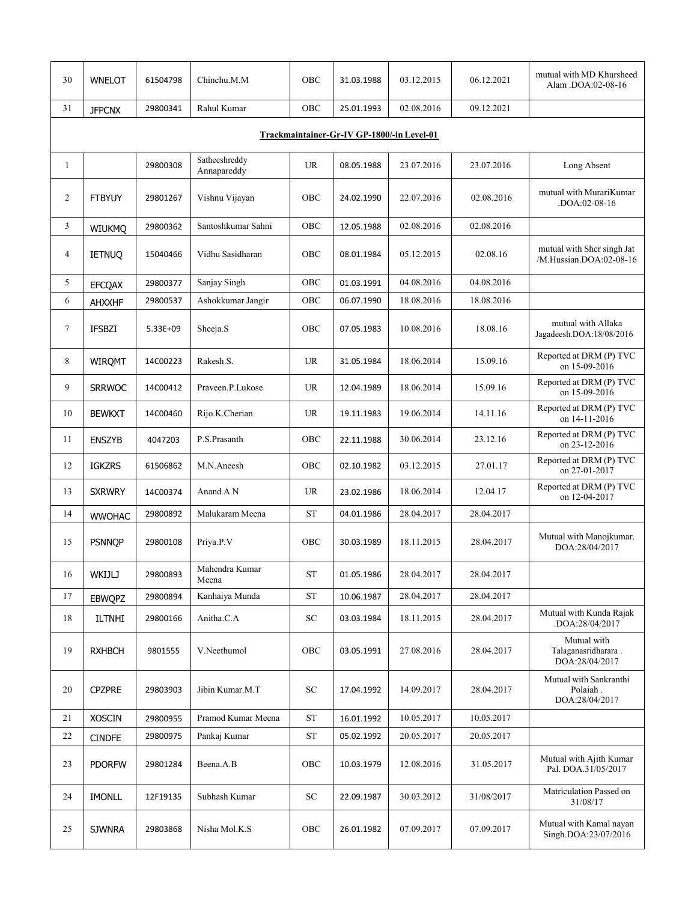| 30             | <b>WNELOT</b> | 61504798 | Chinchu.M.M                  | OBC                               | 31.03.1988                                 | 03.12.2015 | 06.12.2021 | mutual with MD Khursheed<br>Alam .DOA:02-08-16        |
|----------------|---------------|----------|------------------------------|-----------------------------------|--------------------------------------------|------------|------------|-------------------------------------------------------|
| 31             | <b>JFPCNX</b> | 29800341 | Rahul Kumar                  | OBC                               | 25.01.1993                                 | 02.08.2016 | 09.12.2021 |                                                       |
|                |               |          |                              |                                   | Trackmaintainer-Gr-IV GP-1800/-in Level-01 |            |            |                                                       |
| $\mathbf{1}$   |               | 29800308 | Satheeshreddy<br>Annapareddy | <b>UR</b>                         | 08.05.1988                                 | 23.07.2016 | 23.07.2016 | Long Absent                                           |
| 2              | <b>FTBYUY</b> | 29801267 | Vishnu Vijayan               | OBC                               | 24.02.1990                                 | 22.07.2016 | 02.08.2016 | mutual with MurariKumar<br>.DOA:02-08-16              |
| 3              | <b>WIUKMQ</b> | 29800362 | Santoshkumar Sahni           | OBC                               | 12.05.1988                                 | 02.08.2016 | 02.08.2016 |                                                       |
| $\overline{4}$ | <b>IETNUQ</b> | 15040466 | Vidhu Sasidharan             | OBC                               | 08.01.1984                                 | 05.12.2015 | 02.08.16   | mutual with Sher singh Jat<br>/M.Hussian.DOA:02-08-16 |
| 5              | <b>EFCQAX</b> | 29800377 | Sanjay Singh                 | OBC                               | 01.03.1991                                 | 04.08.2016 | 04.08.2016 |                                                       |
| 6              | AHXXHF        | 29800537 | Ashokkumar Jangir            | OBC                               | 06.07.1990                                 | 18.08.2016 | 18.08.2016 |                                                       |
| 7              | <b>IFSBZI</b> | 5.33E+09 | Sheeja.S                     | OBC                               | 07.05.1983                                 | 10.08.2016 | 18.08.16   | mutual with Allaka<br>Jagadeesh.DOA:18/08/2016        |
| 8              | <b>WIRQMT</b> | 14C00223 | Rakesh.S.                    | <b>UR</b>                         | 31.05.1984                                 | 18.06.2014 | 15.09.16   | Reported at DRM (P) TVC<br>on 15-09-2016              |
| 9              | <b>SRRWOC</b> | 14C00412 | Praveen.P.Lukose             | <b>UR</b>                         | 12.04.1989                                 | 18.06.2014 | 15.09.16   | Reported at DRM (P) TVC<br>on 15-09-2016              |
| 10             | <b>BEWKXT</b> | 14C00460 | Rijo.K.Cherian               | $\ensuremath{\mathsf{UR}}\xspace$ | 19.11.1983                                 | 19.06.2014 | 14.11.16   | Reported at DRM (P) TVC<br>on 14-11-2016              |
| 11             | <b>ENSZYB</b> | 4047203  | P.S.Prasanth                 | OBC                               | 22.11.1988                                 | 30.06.2014 | 23.12.16   | Reported at DRM (P) TVC<br>on 23-12-2016              |
| 12             | <b>IGKZRS</b> | 61506862 | M.N.Aneesh                   | OBC                               | 02.10.1982                                 | 03.12.2015 | 27.01.17   | Reported at DRM (P) TVC<br>on 27-01-2017              |
| 13             | <b>SXRWRY</b> | 14C00374 | Anand A.N                    | <b>UR</b>                         | 23.02.1986                                 | 18.06.2014 | 12.04.17   | Reported at DRM (P) TVC<br>on 12-04-2017              |
| 14             | <b>WWOHAC</b> | 29800892 | Malukaram Meena              | $\operatorname{ST}$               | 04.01.1986                                 | 28.04.2017 | 28.04.2017 |                                                       |
| 15             | <b>PSNNQP</b> | 29800108 | Priya.P.V                    | OBC                               | 30.03.1989                                 | 18.11.2015 | 28.04.2017 | Mutual with Manojkumar.<br>DOA:28/04/2017             |
| 16             | WKIJLJ        | 29800893 | Mahendra Kumar<br>Meena      | ST                                | 01.05.1986                                 | 28.04.2017 | 28.04.2017 |                                                       |
| 17             | <b>EBWQPZ</b> | 29800894 | Kanhaiya Munda               | ${\rm ST}$                        | 10.06.1987                                 | 28.04.2017 | 28.04.2017 |                                                       |
| 18             | <b>ILTNHI</b> | 29800166 | Anitha.C.A                   | <b>SC</b>                         | 03.03.1984                                 | 18.11.2015 | 28.04.2017 | Mutual with Kunda Rajak<br>.DOA:28/04/2017            |
| 19             | <b>RXHBCH</b> | 9801555  | V.Neethumol                  | OBC                               | 03.05.1991                                 | 27.08.2016 | 28.04.2017 | Mutual with<br>Talaganasridharara.<br>DOA:28/04/2017  |
| 20             | <b>CPZPRE</b> | 29803903 | Jibin Kumar.M.T              | ${\rm SC}$                        | 17.04.1992                                 | 14.09.2017 | 28.04.2017 | Mutual with Sankranthi<br>Polaiah.<br>DOA:28/04/2017  |
| 21             | <b>XOSCIN</b> | 29800955 | Pramod Kumar Meena           | ST                                | 16.01.1992                                 | 10.05.2017 | 10.05.2017 |                                                       |
| 22             | <b>CINDFE</b> | 29800975 | Pankaj Kumar                 | <b>ST</b>                         | 05.02.1992                                 | 20.05.2017 | 20.05.2017 |                                                       |
| 23             | <b>PDORFW</b> | 29801284 | Beena.A.B                    | OBC                               | 10.03.1979                                 | 12.08.2016 | 31.05.2017 | Mutual with Ajith Kumar<br>Pal. DOA.31/05/2017        |
| 24             | <b>IMONLL</b> | 12F19135 | Subhash Kumar                | ${\rm SC}$                        | 22.09.1987                                 | 30.03.2012 | 31/08/2017 | Matriculation Passed on<br>31/08/17                   |
| 25             | <b>SJWNRA</b> | 29803868 | Nisha Mol.K.S                | ${\rm OBC}$                       | 26.01.1982                                 | 07.09.2017 | 07.09.2017 | Mutual with Kamal nayan<br>Singh.DOA:23/07/2016       |
|                |               |          |                              |                                   |                                            |            |            |                                                       |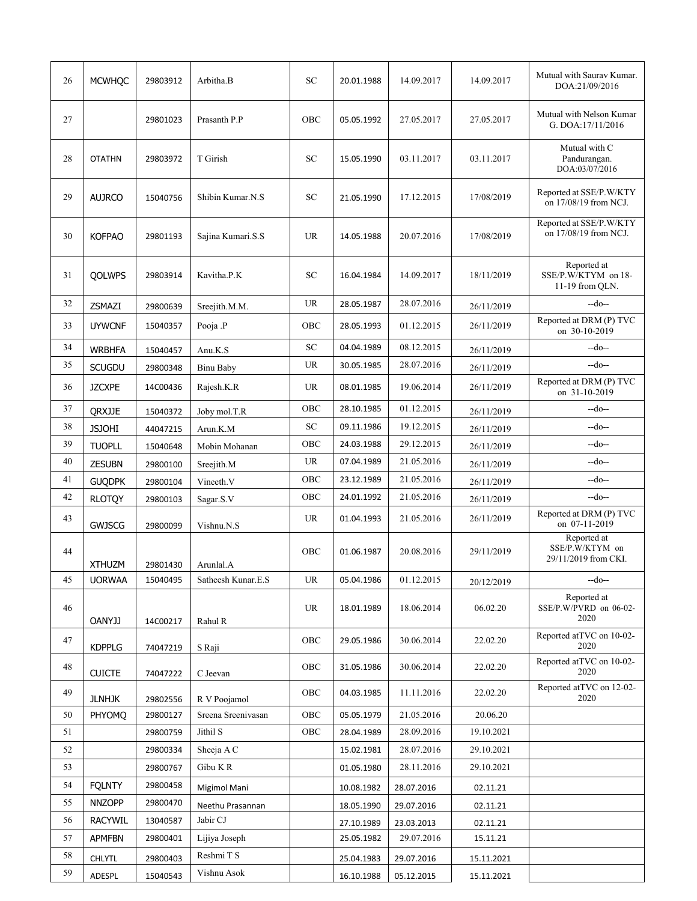| 26 | <b>MCWHQC</b>  | 29803912 | Arbitha.B          | <b>SC</b>   | 20.01.1988 | 14.09.2017 | 14.09.2017 | Mutual with Saurav Kumar.<br>DOA:21/09/2016            |
|----|----------------|----------|--------------------|-------------|------------|------------|------------|--------------------------------------------------------|
| 27 |                | 29801023 | Prasanth P.P       | OBC         | 05.05.1992 | 27.05.2017 | 27.05.2017 | Mutual with Nelson Kumar<br>G. DOA:17/11/2016          |
| 28 | <b>OTATHN</b>  | 29803972 | T Girish           | <b>SC</b>   | 15.05.1990 | 03.11.2017 | 03.11.2017 | Mutual with C<br>Pandurangan.<br>DOA:03/07/2016        |
| 29 | <b>AUJRCO</b>  | 15040756 | Shibin Kumar.N.S   | SC          | 21.05.1990 | 17.12.2015 | 17/08/2019 | Reported at SSE/P.W/KTY<br>on 17/08/19 from NCJ.       |
| 30 | <b>KOFPAO</b>  | 29801193 | Sajina Kumari.S.S  | <b>UR</b>   | 14.05.1988 | 20.07.2016 | 17/08/2019 | Reported at SSE/P.W/KTY<br>on 17/08/19 from NCJ.       |
| 31 | <b>OOLWPS</b>  | 29803914 | Kavitha.P.K        | <b>SC</b>   | 16.04.1984 | 14.09.2017 | 18/11/2019 | Reported at<br>SSE/P.W/KTYM on 18-<br>11-19 from QLN.  |
| 32 | ZSMAZI         | 29800639 | Sreejith.M.M.      | <b>UR</b>   | 28.05.1987 | 28.07.2016 | 26/11/2019 | --do--                                                 |
| 33 | <b>UYWCNF</b>  | 15040357 | Pooja .P           | OBC         | 28.05.1993 | 01.12.2015 | 26/11/2019 | Reported at DRM (P) TVC<br>on 30-10-2019               |
| 34 | <b>WRBHFA</b>  | 15040457 | Anu.K.S            | SC          | 04.04.1989 | 08.12.2015 | 26/11/2019 | --do--                                                 |
| 35 | <b>SCUGDU</b>  | 29800348 | <b>Binu Baby</b>   | <b>UR</b>   | 30.05.1985 | 28.07.2016 | 26/11/2019 | --do--                                                 |
| 36 | <b>JZCXPE</b>  | 14C00436 | Rajesh.K.R         | UR          | 08.01.1985 | 19.06.2014 | 26/11/2019 | Reported at DRM (P) TVC<br>on 31-10-2019               |
| 37 | QRXJJE         | 15040372 | Joby mol.T.R       | OBC         | 28.10.1985 | 01.12.2015 | 26/11/2019 | --do--                                                 |
| 38 | <b>JSJOHI</b>  | 44047215 | Arun.K.M           | ${\rm SC}$  | 09.11.1986 | 19.12.2015 | 26/11/2019 | --do--                                                 |
| 39 | <b>TUOPLL</b>  | 15040648 | Mobin Mohanan      | OBC         | 24.03.1988 | 29.12.2015 | 26/11/2019 | $-do-$                                                 |
| 40 | <b>ZESUBN</b>  | 29800100 | Sreejith.M         | UR          | 07.04.1989 | 21.05.2016 | 26/11/2019 | --do--                                                 |
| 41 | <b>GUQDPK</b>  | 29800104 | Vineeth.V          | OBC         | 23.12.1989 | 21.05.2016 | 26/11/2019 | --do--                                                 |
| 42 | <b>RLOTQY</b>  | 29800103 | Sagar.S.V          | ${\rm OBC}$ | 24.01.1992 | 21.05.2016 | 26/11/2019 | --do--                                                 |
| 43 | <b>GWJSCG</b>  | 29800099 | Vishnu.N.S         | <b>UR</b>   | 01.04.1993 | 21.05.2016 | 26/11/2019 | Reported at DRM (P) TVC<br>on 07-11-2019               |
| 44 | <b>XTHUZM</b>  | 29801430 | Arunlal.A          | OBC         | 01.06.1987 | 20.08.2016 | 29/11/2019 | Reported at<br>SSE/P.W/KTYM on<br>29/11/2019 from CKI. |
| 45 | <b>UORWAA</b>  | 15040495 | Satheesh Kunar.E.S | <b>UR</b>   | 05.04.1986 | 01.12.2015 | 20/12/2019 | $-do-$                                                 |
| 46 | <b>OANYJJ</b>  | 14C00217 | Rahul R            | UR          | 18.01.1989 | 18.06.2014 | 06.02.20   | Reported at<br>SSE/P.W/PVRD on 06-02-<br>2020          |
| 47 | <b>KDPPLG</b>  | 74047219 | S Raji             | OBC         | 29.05.1986 | 30.06.2014 | 22.02.20   | Reported at TVC on 10-02-<br>2020                      |
| 48 | <b>CUICTE</b>  | 74047222 | C Jeevan           | OBC         | 31.05.1986 | 30.06.2014 | 22.02.20   | Reported at TVC on 10-02-<br>2020                      |
| 49 | <b>JLNHJK</b>  | 29802556 | R V Poojamol       | OBC         | 04.03.1985 | 11.11.2016 | 22.02.20   | Reported at TVC on 12-02-<br>2020                      |
| 50 | PHYOMQ         | 29800127 | Sreena Sreenivasan | ${\rm OBC}$ | 05.05.1979 | 21.05.2016 | 20.06.20   |                                                        |
| 51 |                | 29800759 | Jithil S           | OBC         | 28.04.1989 | 28.09.2016 | 19.10.2021 |                                                        |
| 52 |                | 29800334 | Sheeja AC          |             | 15.02.1981 | 28.07.2016 | 29.10.2021 |                                                        |
| 53 |                | 29800767 | Gibu KR            |             | 01.05.1980 | 28.11.2016 | 29.10.2021 |                                                        |
| 54 | <b>FQLNTY</b>  | 29800458 | Migimol Mani       |             | 10.08.1982 | 28.07.2016 | 02.11.21   |                                                        |
| 55 | <b>NNZOPP</b>  | 29800470 | Neethu Prasannan   |             | 18.05.1990 | 29.07.2016 | 02.11.21   |                                                        |
| 56 | <b>RACYWIL</b> | 13040587 | Jabir CJ           |             | 27.10.1989 | 23.03.2013 | 02.11.21   |                                                        |
| 57 | <b>APMFBN</b>  | 29800401 | Lijiya Joseph      |             | 25.05.1982 | 29.07.2016 | 15.11.21   |                                                        |
| 58 | CHLYTL         | 29800403 | Reshmi T S         |             | 25.04.1983 | 29.07.2016 | 15.11.2021 |                                                        |
| 59 | ADESPL         | 15040543 | Vishnu Asok        |             | 16.10.1988 | 05.12.2015 | 15.11.2021 |                                                        |